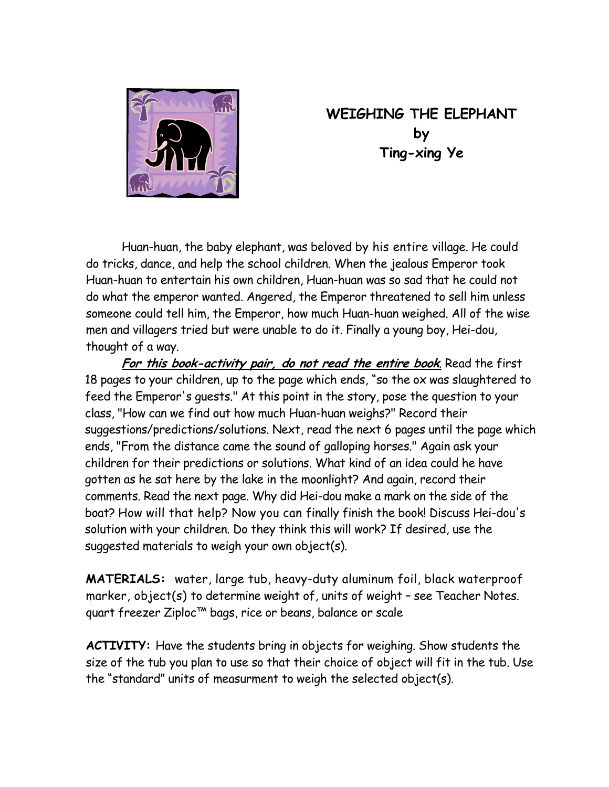

## **WEIGHING THE ELEPHANT by Ting-xing Ye**

Huan-huan, the baby elephant, was beloved by his entire village. He could do tricks, dance, and help the school children. When the jealous Emperor took Huan-huan to entertain his own children, Huan-huan was so sad that he could not do what the emperor wanted. Angered, the Emperor threatened to sell him unless someone could tell him, the Emperor, how much Huan-huan weighed. All of the wise men and villagers tried but were unable to do it. Finally a young boy, Hei-dou, thought of a way.

**For this book-activity pair, do not read the entire book**. Read the first 18 pages to your children, up to the page which ends, "so the ox was slaughtered to feed the Emperor's guests." At this point in the story, pose the question to your class, "How can we find out how much Huan-huan weighs?" Record their suggestions/predictions/solutions. Next, read the next 6 pages until the page which ends, "From the distance came the sound of galloping horses." Again ask your children for their predictions or solutions. What kind of an idea could he have gotten as he sat here by the lake in the moonlight? And again, record their comments. Read the next page. Why did Hei-dou make a mark on the side of the boat? How will that help? Now you can finally finish the book! Discuss Hei-dou's solution with your children. Do they think this will work? If desired, use the suggested materials to weigh your own object(s).

**MATERIALS:** water, large tub, heavy-duty aluminum foil, black waterproof marker, object(s) to determine weight of, units of weight – see Teacher Notes. quart freezer Ziploc™ bags, rice or beans, balance or scale

**ACTIVITY:** Have the students bring in objects for weighing. Show students the size of the tub you plan to use so that their choice of object will fit in the tub. Use the "standard" units of measurment to weigh the selected object(s).